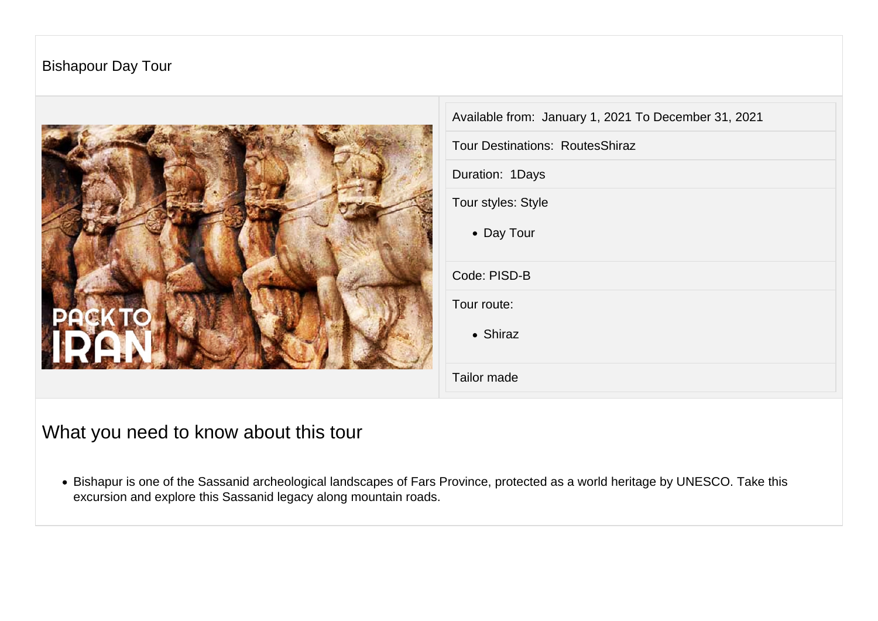## Bishapour Day Tour



| Available from: January 1, 2021 To December 31, 2021 |
|------------------------------------------------------|
| <b>Tour Destinations: RoutesShiraz</b>               |
| Duration: 1Days                                      |
| Tour styles: Style                                   |
| • Day Tour                                           |
| Code: PISD-B                                         |
| Tour route:                                          |
| • Shiraz                                             |
| Tailor made                                          |

## What you need to know about this tour

Bishapur is one of the Sassanid archeological landscapes of Fars Province, protected as a world heritage by UNESCO. Take this excursion and explore this Sassanid legacy along mountain roads.